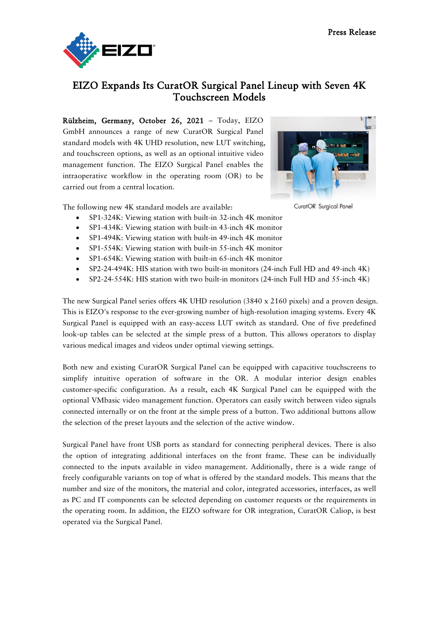

## EIZO Expands Its CuratOR Surgical Panel Lineup with Seven 4K Touchscreen Models

Rülzheim, Germany, October 26, 2021 – Today, EIZO GmbH announces a range of new CuratOR Surgical Panel standard models with 4K UHD resolution, new LUT switching, and touchscreen options, as well as an optional intuitive video management function. The EIZO Surgical Panel enables the intraoperative workflow in the operating room (OR) to be carried out from a central location.



CuratOR Surgical Panel

The following new 4K standard models are available:

- SP1-324K: Viewing station with built-in 32-inch 4K monitor
- SP1-434K: Viewing station with built-in 43-inch 4K monitor
- SP1-494K: Viewing station with built-in 49-inch 4K monitor
- SP1-554K: Viewing station with built-in 55-inch 4K monitor
- SP1-654K: Viewing station with built-in 65-inch 4K monitor
- SP2-24-494K: HIS station with two built-in monitors (24-inch Full HD and 49-inch 4K)
- SP2-24-554K: HIS station with two built-in monitors (24-inch Full HD and 55-inch 4K)

The new Surgical Panel series offers 4K UHD resolution (3840 x 2160 pixels) and a proven design. This is EIZO's response to the ever-growing number of high-resolution imaging systems. Every 4K Surgical Panel is equipped with an easy-access LUT switch as standard. One of five predefined look-up tables can be selected at the simple press of a button. This allows operators to display various medical images and videos under optimal viewing settings.

Both new and existing CuratOR Surgical Panel can be equipped with capacitive touchscreens to simplify intuitive operation of software in the OR. A modular interior design enables customer-specific configuration. As a result, each 4K Surgical Panel can be equipped with the optional VMbasic video management function. Operators can easily switch between video signals connected internally or on the front at the simple press of a button. Two additional buttons allow the selection of the preset layouts and the selection of the active window.

Surgical Panel have front USB ports as standard for connecting peripheral devices. There is also the option of integrating additional interfaces on the front frame. These can be individually connected to the inputs available in video management. Additionally, there is a wide range of freely configurable variants on top of what is offered by the standard models. This means that the number and size of the monitors, the material and color, integrated accessories, interfaces, as well as PC and IT components can be selected depending on customer requests or the requirements in the operating room. In addition, the EIZO software for OR integration, CuratOR Caliop, is best operated via the Surgical Panel.